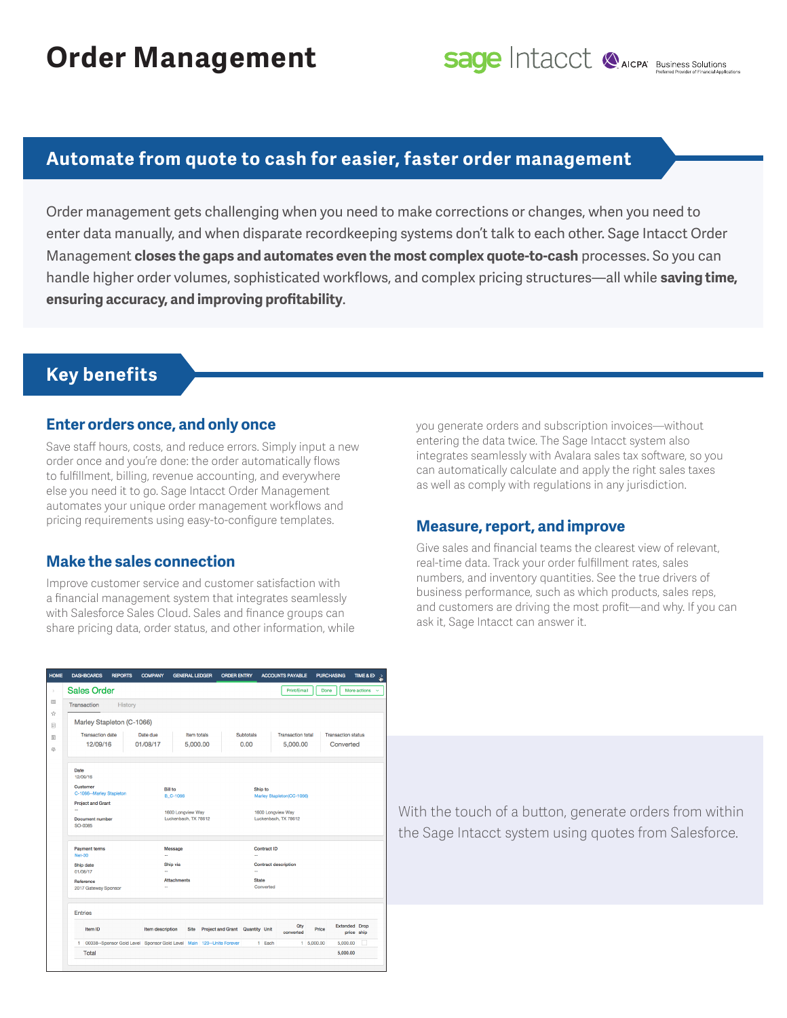## **Automate from quote to cash for easier, faster order management**

Order management gets challenging when you need to make corrections or changes, when you need to enter data manually, and when disparate recordkeeping systems don't talk to each other. Sage Intacct Order Management **closes the gaps and automates even the most complex quote-to-cash** processes. So you can handle higher order volumes, sophisticated workflows, and complex pricing structures—all while **saving time, ensuring accuracy, and improving profitability**.

## **Key benefits**

#### **Enter orders once, and only once**

Save staff hours, costs, and reduce errors. Simply input a new order once and you're done: the order automatically flows to fulfillment, billing, revenue accounting, and everywhere else you need it to go. Sage Intacct Order Management automates your unique order management workflows and pricing requirements using easy-to-configure templates.

#### **Make the sales connection**

Improve customer service and customer satisfaction with a financial management system that integrates seamlessly with Salesforce Sales Cloud. Sales and finance groups can share pricing data, order status, and other information, while you generate orders and subscription invoices—without entering the data twice. The Sage Intacct system also integrates seamlessly with Avalara sales tax software, so you can automatically calculate and apply the right sales taxes as well as comply with regulations in any jurisdiction.

#### **Measure, report, and improve**

Give sales and financial teams the clearest view of relevant, real-time data. Track your order fulfillment rates, sales numbers, and inventory quantities. See the true drivers of business performance, such as which products, sales reps, and customers are driving the most profit—and why. If you can ask it, Sage Intacct can answer it.

|                       | <b>DASHBOARDS</b>                      | <b>REPORTS</b>            | <b>COMPANY</b>                                                         | <b>GENERAL LEDGER</b>                     |          | <b>ORDER ENTRY</b>              |                   |                                           | <b>ACCOUNTS PAYABLE</b> |                                                       | <b>PURCHASING</b>    | TIME & EX    |  |  |
|-----------------------|----------------------------------------|---------------------------|------------------------------------------------------------------------|-------------------------------------------|----------|---------------------------------|-------------------|-------------------------------------------|-------------------------|-------------------------------------------------------|----------------------|--------------|--|--|
|                       | <b>Sales Order</b>                     |                           |                                                                        |                                           |          |                                 |                   |                                           | Print/Email             | Done                                                  |                      | More actions |  |  |
|                       | Transaction                            | History                   |                                                                        |                                           |          |                                 |                   |                                           |                         |                                                       |                      |              |  |  |
|                       |                                        | Marley Stapleton (C-1066) |                                                                        |                                           |          |                                 |                   |                                           |                         |                                                       |                      |              |  |  |
|                       | <b>Transaction date</b>                |                           | Date due                                                               | Item totals                               |          |                                 | <b>Subtotals</b>  |                                           |                         | <b>Transaction total</b><br><b>Transaction status</b> |                      |              |  |  |
|                       | 12/09/16                               |                           | 01/08/17                                                               |                                           | 5,000.00 |                                 | 0.00              |                                           | 5,000.00                |                                                       | Converted            |              |  |  |
| Date                  | 12/09/16                               |                           |                                                                        |                                           |          |                                 |                   |                                           |                         |                                                       |                      |              |  |  |
|                       | Customer<br>C-1066 -- Marley Stapleton |                           |                                                                        | <b>Bill to</b><br><b>B C-1066</b>         |          |                                 |                   | Ship to<br>Marley Stapleton(CC-1066)      |                         |                                                       |                      |              |  |  |
|                       | <b>Project and Grant</b>               |                           |                                                                        |                                           |          |                                 |                   |                                           |                         |                                                       |                      |              |  |  |
| ш,                    | <b>Document number</b><br>SO-0085      |                           |                                                                        | 1600 Longview Way<br>Luckenbach, TX 78612 |          |                                 |                   | 1600 Longview Way<br>Luckenbach, TX 78612 |                         |                                                       |                      |              |  |  |
|                       | <b>Payment terms</b><br><b>Net-30</b>  |                           |                                                                        | Message<br>Ω,                             |          |                                 | Contract ID<br>u, |                                           |                         |                                                       |                      |              |  |  |
| Ship date<br>01/08/17 |                                        |                           |                                                                        | Ship via<br>ă.<br><b>Attachments</b>      |          |                                 |                   | <b>Contract description</b>               |                         |                                                       |                      |              |  |  |
|                       |                                        |                           |                                                                        |                                           |          |                                 |                   | u.<br><b>State</b>                        |                         |                                                       |                      |              |  |  |
|                       | Reference<br>2017 Gateway Sponsor      |                           | μ.                                                                     |                                           |          |                                 |                   | Converted                                 |                         |                                                       |                      |              |  |  |
|                       | <b>Entries</b>                         |                           |                                                                        |                                           |          |                                 |                   |                                           |                         |                                                       |                      |              |  |  |
|                       | Item ID                                |                           |                                                                        | Item description<br><b>Site</b>           |          | Project and Grant Quantity Unit |                   |                                           | Qty<br>converted        | Price                                                 | <b>Extended Drop</b> | price ship   |  |  |
|                       |                                        |                           | 1 00038--Sponsor Gold Level Sponsor Gold Level Main 120--Unite Forever |                                           |          |                                 |                   | 1 Each                                    |                         | $1\quad 5,000.00$                                     | 5,000.00             |              |  |  |
|                       | Total                                  |                           |                                                                        |                                           |          |                                 |                   |                                           |                         |                                                       | 5,000.00             |              |  |  |

With the touch of a button, generate orders from within the Sage Intacct system using quotes from Salesforce.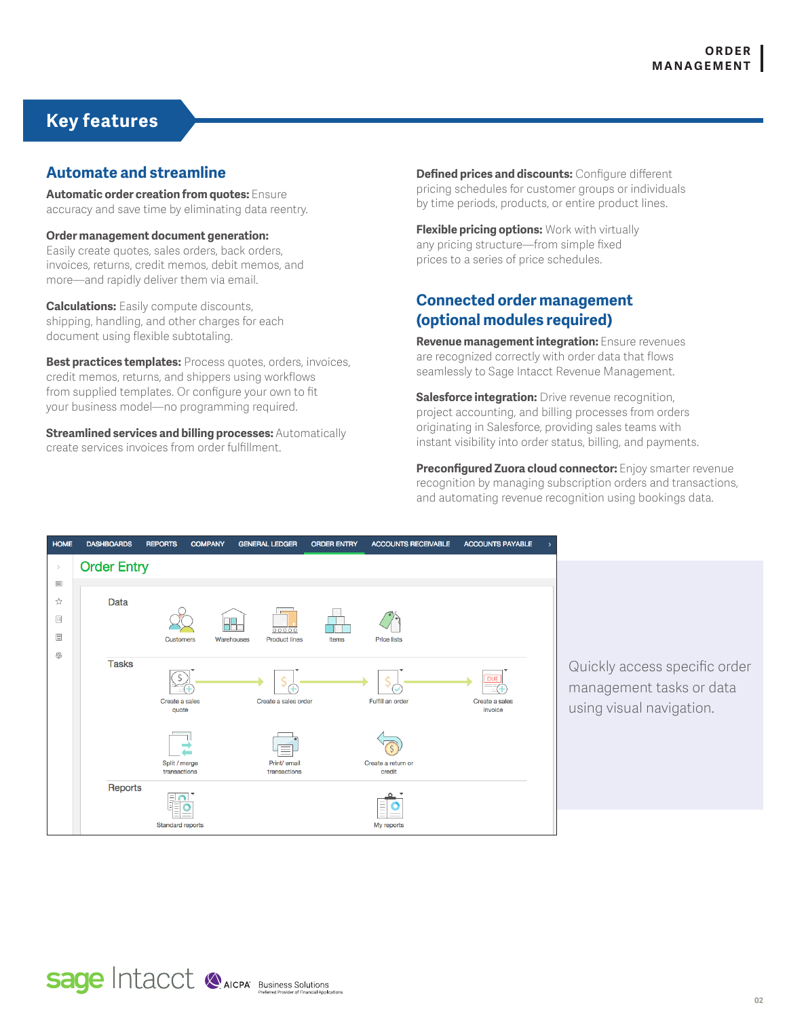## **Key features**

#### **Automate and streamline**

**Automatic order creation from quotes:** Ensure accuracy and save time by eliminating data reentry.

**Order management document generation:**  Easily create quotes, sales orders, back orders, invoices, returns, credit memos, debit memos, and more—and rapidly deliver them via email.

**Calculations:** Easily compute discounts, shipping, handling, and other charges for each document using flexible subtotaling.

**Best practices templates:** Process quotes, orders, invoices, credit memos, returns, and shippers using workflows from supplied templates. Or configure your own to fit your business model—no programming required.

**Streamlined services and billing processes:** Automatically create services invoices from order fulfillment.

**Defined prices and discounts:** Configure different pricing schedules for customer groups or individuals by time periods, products, or entire product lines.

**Flexible pricing options:** Work with virtually any pricing structure—from simple fixed prices to a series of price schedules.

### **Connected order management (optional modules required)**

**Revenue management integration:** Ensure revenues are recognized correctly with order data that flows seamlessly to Sage Intacct Revenue Management.

**Salesforce integration:** Drive revenue recognition, project accounting, and billing processes from orders originating in Salesforce, providing sales teams with instant visibility into order status, billing, and payments.

**Preconfigured Zuora cloud connector:** Enjoy smarter revenue recognition by managing subscription orders and transactions, and automating revenue recognition using bookings data.



Quickly access specific order management tasks or data using visual navigation.